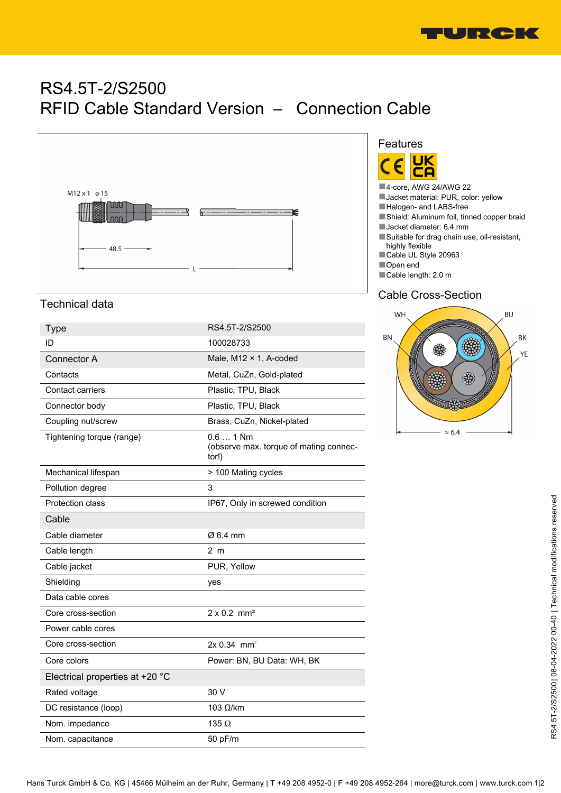

# RS4.5T-2/S2500 RFID Cable Standard Version – Connection Cable



#### Features **UK** <u>ם:</u> r

- ■4-core, AWG 24/AWG 22
- Jacket material: PUR, color: yellow
- ■Halogen- and LABS-free
- ■Shield: Aluminum foil, tinned copper braid
- ■Jacket diameter: 6.4 mm
- ■Suitable for drag chain use, oil-resistant, highly flexible
- ■Cable UL Style 20963
- ■Open end ■Cable length: 2.0 m

#### Cable Cross-Section



### Technical data

| <b>Type</b>                     | RS4.5T-2/S2500                                               |
|---------------------------------|--------------------------------------------------------------|
| ID                              | 100028733                                                    |
| Connector A                     | Male, $M12 \times 1$ , A-coded                               |
| Contacts                        | Metal, CuZn, Gold-plated                                     |
| Contact carriers                | Plastic, TPU, Black                                          |
| Connector body                  | Plastic, TPU, Black                                          |
| Coupling nut/screw              | Brass, CuZn, Nickel-plated                                   |
| Tightening torque (range)       | $0.61$ Nm<br>(observe max. torque of mating connec-<br>tor!) |
| Mechanical lifespan             | > 100 Mating cycles                                          |
| Pollution degree                | 3                                                            |
| <b>Protection class</b>         | IP67, Only in screwed condition                              |
| Cable                           |                                                              |
| Cable diameter                  | Ø 6.4 mm                                                     |
| Cable length                    | 2 <sub>m</sub>                                               |
| Cable jacket                    | PUR, Yellow                                                  |
| Shielding                       | yes                                                          |
| Data cable cores                |                                                              |
| Core cross-section              | $2 \times 0.2$ mm <sup>2</sup>                               |
| Power cable cores               |                                                              |
| Core cross-section              | $2x 0.34$ mm <sup>2</sup>                                    |
| Core colors                     | Power: BN, BU Data: WH, BK                                   |
| Electrical properties at +20 °C |                                                              |
| Rated voltage                   | 30 V                                                         |
| DC resistance (loop)            | $103$ Ω/km                                                   |
| Nom. impedance                  | 135 $\Omega$                                                 |
| Nom. capacitance                | 50 pF/m                                                      |